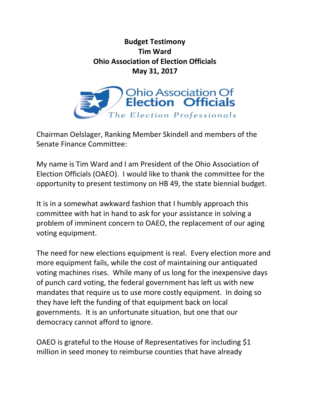## **Budget Testimony Tim Ward Ohio Association of Election Officials May 31, 2017**



Chairman Oelslager, Ranking Member Skindell and members of the Senate Finance Committee:

My name is Tim Ward and I am President of the Ohio Association of Election Officials (OAEO). I would like to thank the committee for the opportunity to present testimony on HB 49, the state biennial budget.

It is in a somewhat awkward fashion that I humbly approach this committee with hat in hand to ask for your assistance in solving a problem of imminent concern to OAEO, the replacement of our aging voting equipment.

The need for new elections equipment is real. Every election more and more equipment fails, while the cost of maintaining our antiquated voting machines rises. While many of us long for the inexpensive days of punch card voting, the federal government has left us with new mandates that require us to use more costly equipment. In doing so they have left the funding of that equipment back on local governments. It is an unfortunate situation, but one that our democracy cannot afford to ignore.

OAEO is grateful to the House of Representatives for including \$1 million in seed money to reimburse counties that have already